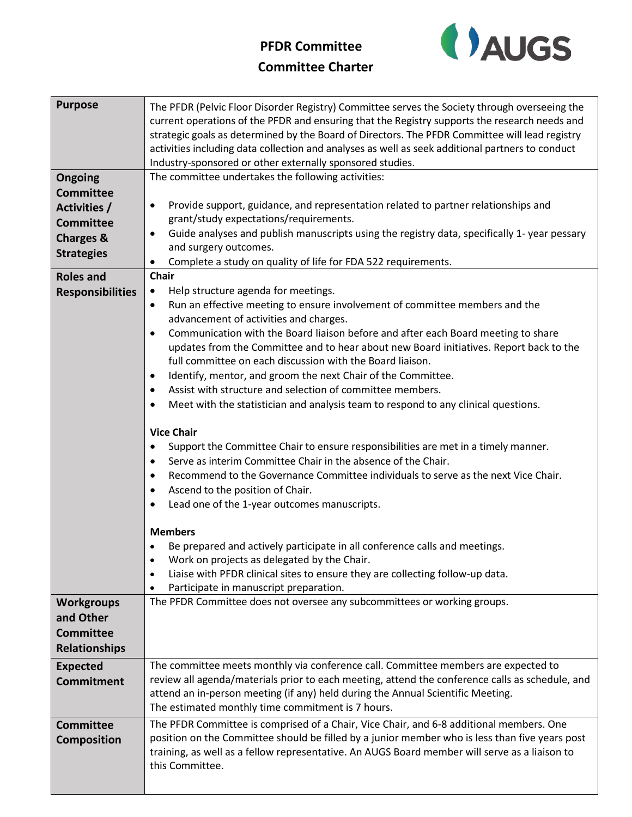## **PFDR Committee**



| <b>Committee Charter</b> |  |
|--------------------------|--|
|--------------------------|--|

| <b>Purpose</b>          | The PFDR (Pelvic Floor Disorder Registry) Committee serves the Society through overseeing the<br>current operations of the PFDR and ensuring that the Registry supports the research needs and<br>strategic goals as determined by the Board of Directors. The PFDR Committee will lead registry<br>activities including data collection and analyses as well as seek additional partners to conduct<br>Industry-sponsored or other externally sponsored studies. |
|-------------------------|-------------------------------------------------------------------------------------------------------------------------------------------------------------------------------------------------------------------------------------------------------------------------------------------------------------------------------------------------------------------------------------------------------------------------------------------------------------------|
| Ongoing                 | The committee undertakes the following activities:                                                                                                                                                                                                                                                                                                                                                                                                                |
| <b>Committee</b>        |                                                                                                                                                                                                                                                                                                                                                                                                                                                                   |
| <b>Activities /</b>     | Provide support, guidance, and representation related to partner relationships and<br>$\bullet$                                                                                                                                                                                                                                                                                                                                                                   |
| <b>Committee</b>        | grant/study expectations/requirements.                                                                                                                                                                                                                                                                                                                                                                                                                            |
| <b>Charges &amp;</b>    | Guide analyses and publish manuscripts using the registry data, specifically 1- year pessary<br>$\bullet$                                                                                                                                                                                                                                                                                                                                                         |
| <b>Strategies</b>       | and surgery outcomes.                                                                                                                                                                                                                                                                                                                                                                                                                                             |
|                         | Complete a study on quality of life for FDA 522 requirements.<br>٠                                                                                                                                                                                                                                                                                                                                                                                                |
| <b>Roles and</b>        | <b>Chair</b>                                                                                                                                                                                                                                                                                                                                                                                                                                                      |
| <b>Responsibilities</b> | Help structure agenda for meetings.<br>$\bullet$                                                                                                                                                                                                                                                                                                                                                                                                                  |
|                         | Run an effective meeting to ensure involvement of committee members and the<br>$\bullet$<br>advancement of activities and charges.                                                                                                                                                                                                                                                                                                                                |
|                         | Communication with the Board liaison before and after each Board meeting to share<br>$\bullet$                                                                                                                                                                                                                                                                                                                                                                    |
|                         | updates from the Committee and to hear about new Board initiatives. Report back to the                                                                                                                                                                                                                                                                                                                                                                            |
|                         | full committee on each discussion with the Board liaison.                                                                                                                                                                                                                                                                                                                                                                                                         |
|                         | Identify, mentor, and groom the next Chair of the Committee.<br>$\bullet$                                                                                                                                                                                                                                                                                                                                                                                         |
|                         | Assist with structure and selection of committee members.<br>$\bullet$                                                                                                                                                                                                                                                                                                                                                                                            |
|                         | Meet with the statistician and analysis team to respond to any clinical questions.<br>$\bullet$                                                                                                                                                                                                                                                                                                                                                                   |
|                         | <b>Vice Chair</b>                                                                                                                                                                                                                                                                                                                                                                                                                                                 |
|                         | Support the Committee Chair to ensure responsibilities are met in a timely manner.<br>٠                                                                                                                                                                                                                                                                                                                                                                           |
|                         | Serve as interim Committee Chair in the absence of the Chair.<br>$\bullet$                                                                                                                                                                                                                                                                                                                                                                                        |
|                         | Recommend to the Governance Committee individuals to serve as the next Vice Chair.<br>$\bullet$                                                                                                                                                                                                                                                                                                                                                                   |
|                         | Ascend to the position of Chair.<br>$\bullet$                                                                                                                                                                                                                                                                                                                                                                                                                     |
|                         | Lead one of the 1-year outcomes manuscripts.<br>$\bullet$                                                                                                                                                                                                                                                                                                                                                                                                         |
|                         |                                                                                                                                                                                                                                                                                                                                                                                                                                                                   |
|                         | <b>Members</b>                                                                                                                                                                                                                                                                                                                                                                                                                                                    |
|                         | Be prepared and actively participate in all conference calls and meetings.                                                                                                                                                                                                                                                                                                                                                                                        |
|                         | Work on projects as delegated by the Chair.                                                                                                                                                                                                                                                                                                                                                                                                                       |
|                         | Liaise with PFDR clinical sites to ensure they are collecting follow-up data.<br>$\bullet$                                                                                                                                                                                                                                                                                                                                                                        |
|                         | Participate in manuscript preparation.<br>$\bullet$<br>The PFDR Committee does not oversee any subcommittees or working groups.                                                                                                                                                                                                                                                                                                                                   |
| <b>Workgroups</b>       |                                                                                                                                                                                                                                                                                                                                                                                                                                                                   |
| and Other               |                                                                                                                                                                                                                                                                                                                                                                                                                                                                   |
| <b>Committee</b>        |                                                                                                                                                                                                                                                                                                                                                                                                                                                                   |
| <b>Relationships</b>    |                                                                                                                                                                                                                                                                                                                                                                                                                                                                   |
| <b>Expected</b>         | The committee meets monthly via conference call. Committee members are expected to                                                                                                                                                                                                                                                                                                                                                                                |
| <b>Commitment</b>       | review all agenda/materials prior to each meeting, attend the conference calls as schedule, and                                                                                                                                                                                                                                                                                                                                                                   |
|                         | attend an in-person meeting (if any) held during the Annual Scientific Meeting.                                                                                                                                                                                                                                                                                                                                                                                   |
|                         | The estimated monthly time commitment is 7 hours.                                                                                                                                                                                                                                                                                                                                                                                                                 |
| <b>Committee</b>        | The PFDR Committee is comprised of a Chair, Vice Chair, and 6-8 additional members. One                                                                                                                                                                                                                                                                                                                                                                           |
| <b>Composition</b>      | position on the Committee should be filled by a junior member who is less than five years post                                                                                                                                                                                                                                                                                                                                                                    |
|                         | training, as well as a fellow representative. An AUGS Board member will serve as a liaison to                                                                                                                                                                                                                                                                                                                                                                     |
|                         | this Committee.                                                                                                                                                                                                                                                                                                                                                                                                                                                   |
|                         |                                                                                                                                                                                                                                                                                                                                                                                                                                                                   |